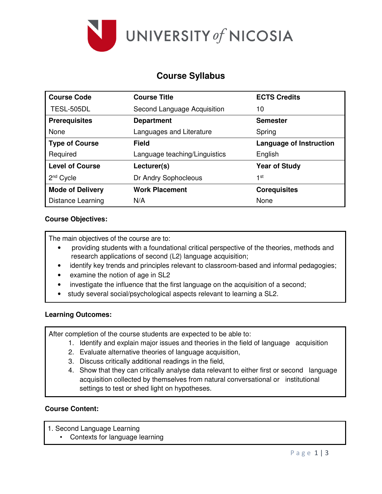

# **Course Syllabus**

| <b>Course Code</b>       | <b>Course Title</b>           | <b>ECTS Credits</b>            |  |  |
|--------------------------|-------------------------------|--------------------------------|--|--|
| TESL-505DL               | Second Language Acquisition   | 10                             |  |  |
| <b>Prerequisites</b>     | <b>Department</b>             | <b>Semester</b>                |  |  |
| None                     | Languages and Literature      | Spring                         |  |  |
| <b>Type of Course</b>    | <b>Field</b>                  | <b>Language of Instruction</b> |  |  |
| Required                 | Language teaching/Linguistics | English                        |  |  |
| <b>Level of Course</b>   | Lecturer(s)                   | <b>Year of Study</b>           |  |  |
| $2nd$ Cycle              | Dr Andry Sophocleous          | 1st                            |  |  |
| <b>Mode of Delivery</b>  | <b>Work Placement</b>         | <b>Corequisites</b>            |  |  |
| <b>Distance Learning</b> | N/A                           | None                           |  |  |

#### **Course Objectives:**

The main objectives of the course are to:

- providing students with a foundational critical perspective of the theories, methods and research applications of second (L2) language acquisition;
- identify key trends and principles relevant to classroom-based and informal pedagogies;
- examine the notion of age in SL2
- investigate the influence that the first language on the acquisition of a second;
- study several social/psychological aspects relevant to learning a SL2.

#### **Learning Outcomes:**

After completion of the course students are expected to be able to:

- 1. Identify and explain major issues and theories in the field of language acquisition
- 2. Evaluate alternative theories of language acquisition,
- 3. Discuss critically additional readings in the field,
- 4. Show that they can critically analyse data relevant to either first or second language acquisition collected by themselves from natural conversational or institutional settings to test or shed light on hypotheses.

### **Course Content:**

- 1. Second Language Learning
	- Contexts for language learning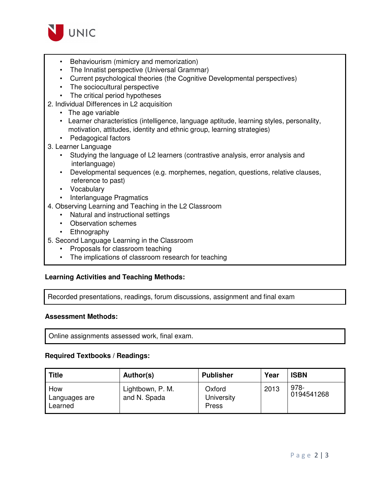

- Behaviourism (mimicry and memorization)
- The Innatist perspective (Universal Grammar)
- Current psychological theories (the Cognitive Developmental perspectives)
- The sociocultural perspective
- The critical period hypotheses
- 2. Individual Differences in L2 acquisition
	- The age variable
	- Learner characteristics (intelligence, language aptitude, learning styles, personality, motivation, attitudes, identity and ethnic group, learning strategies)
	- Pedagogical factors
- 3. Learner Language
	- Studying the language of L2 learners (contrastive analysis, error analysis and interlanguage)
	- Developmental sequences (e.g. morphemes, negation, questions, relative clauses, reference to past)
	- Vocabulary
	- Interlanguage Pragmatics
- 4. Observing Learning and Teaching in the L2 Classroom
	- Natural and instructional settings
	- Observation schemes
	- Ethnography
- 5. Second Language Learning in the Classroom
	- Proposals for classroom teaching
	- The implications of classroom research for teaching

#### **Learning Activities and Teaching Methods:**

Recorded presentations, readings, forum discussions, assignment and final exam

#### **Assessment Methods:**

Online assignments assessed work, final exam.

#### **Required Textbooks / Readings:**

| <b>Title</b>                    | Author(s)                        | <b>Publisher</b>              | Year | <b>ISBN</b>        |
|---------------------------------|----------------------------------|-------------------------------|------|--------------------|
| How<br>Languages are<br>Learned | Lightbown, P. M.<br>and N. Spada | Oxford<br>University<br>Press | 2013 | 978-<br>0194541268 |